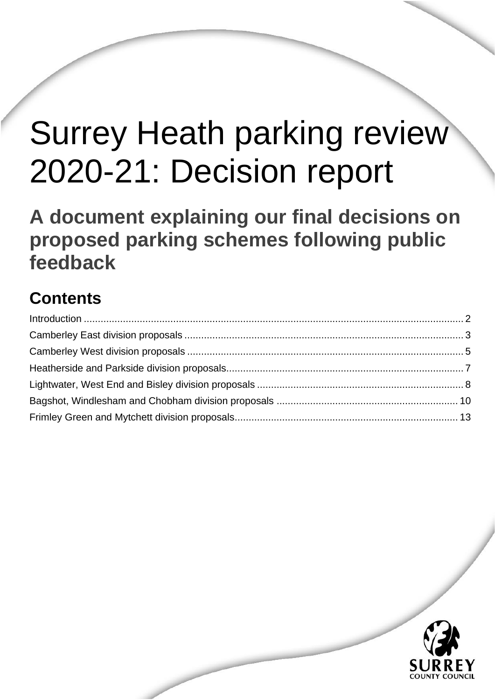# Surrey Heath parking review 2020-21: Decision report

Surrey Heath parking review 2020-21: Decision report August 2021

**A document explaining our final decisions on proposed parking schemes following public feedback**

# **Contents**

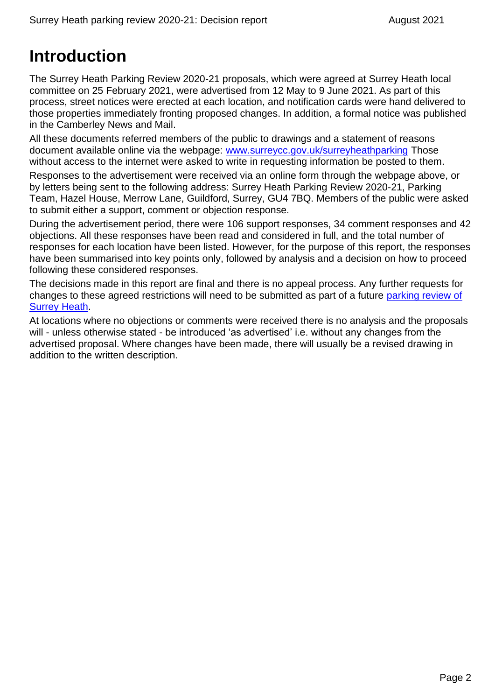# <span id="page-1-0"></span>**Introduction**

The Surrey Heath Parking Review 2020-21 proposals, which were agreed at Surrey Heath local committee on 25 February 2021, were advertised from 12 May to 9 June 2021. As part of this process, street notices were erected at each location, and notification cards were hand delivered to those properties immediately fronting proposed changes. In addition, a formal notice was published in the Camberley News and Mail.

All these documents referred members of the public to drawings and a statement of reasons document available online via the webpage: [www.surreycc.gov.uk/surreyheathparking](http://www.surreycc.gov.uk/surreyheathparking) Those without access to the internet were asked to write in requesting information be posted to them.

Responses to the advertisement were received via an online form through the webpage above, or by letters being sent to the following address: Surrey Heath Parking Review 2020-21, Parking Team, Hazel House, Merrow Lane, Guildford, Surrey, GU4 7BQ. Members of the public were asked to submit either a support, comment or objection response.

During the advertisement period, there were 106 support responses, 34 comment responses and 42 objections. All these responses have been read and considered in full, and the total number of responses for each location have been listed. However, for the purpose of this report, the responses have been summarised into key points only, followed by analysis and a decision on how to proceed following these considered responses.

The decisions made in this report are final and there is no appeal process. Any further requests for changes to these agreed restrictions will need to be submitted as part of a future [parking review of](https://www.surreycc.gov.uk/roads-and-transport/parking/reviews)  [Surrey Heath.](https://www.surreycc.gov.uk/roads-and-transport/parking/reviews)

At locations where no objections or comments were received there is no analysis and the proposals will - unless otherwise stated - be introduced 'as advertised' i.e. without any changes from the advertised proposal. Where changes have been made, there will usually be a revised drawing in addition to the written description.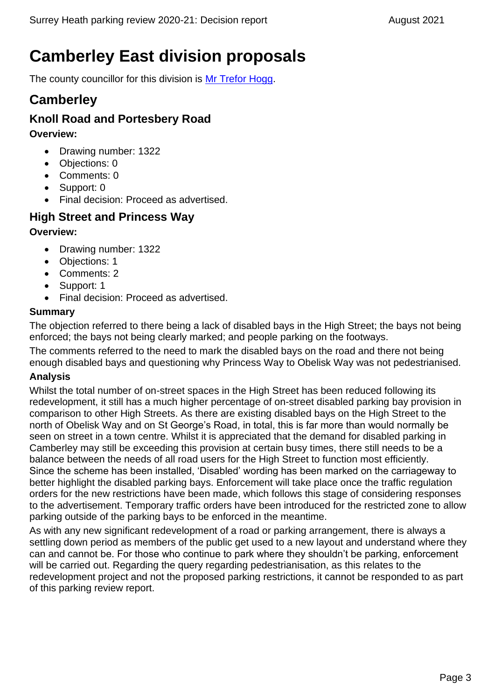# <span id="page-2-0"></span>**Camberley East division proposals**

The county councillor for this division is [Mr Trefor Hogg.](https://mycouncil.surreycc.gov.uk/mgUserInfo.aspx?UID=3254)

### **Camberley**

### **Knoll Road and Portesbery Road**

**Overview:**

- Drawing number: 1322
- Objections: 0
- Comments: 0
- Support: 0
- Final decision: Proceed as advertised.

### **High Street and Princess Way**

### **Overview:**

- Drawing number: 1322
- Objections: 1
- Comments: 2
- Support: 1
- Final decision: Proceed as advertised.

### **Summary**

The objection referred to there being a lack of disabled bays in the High Street; the bays not being enforced; the bays not being clearly marked; and people parking on the footways.

The comments referred to the need to mark the disabled bays on the road and there not being enough disabled bays and questioning why Princess Way to Obelisk Way was not pedestrianised.

### **Analysis**

Whilst the total number of on-street spaces in the High Street has been reduced following its redevelopment, it still has a much higher percentage of on-street disabled parking bay provision in comparison to other High Streets. As there are existing disabled bays on the High Street to the north of Obelisk Way and on St George's Road, in total, this is far more than would normally be seen on street in a town centre. Whilst it is appreciated that the demand for disabled parking in Camberley may still be exceeding this provision at certain busy times, there still needs to be a balance between the needs of all road users for the High Street to function most efficiently. Since the scheme has been installed, 'Disabled' wording has been marked on the carriageway to better highlight the disabled parking bays. Enforcement will take place once the traffic regulation orders for the new restrictions have been made, which follows this stage of considering responses to the advertisement. Temporary traffic orders have been introduced for the restricted zone to allow parking outside of the parking bays to be enforced in the meantime.

As with any new significant redevelopment of a road or parking arrangement, there is always a settling down period as members of the public get used to a new layout and understand where they can and cannot be. For those who continue to park where they shouldn't be parking, enforcement will be carried out. Regarding the query regarding pedestrianisation, as this relates to the redevelopment project and not the proposed parking restrictions, it cannot be responded to as part of this parking review report.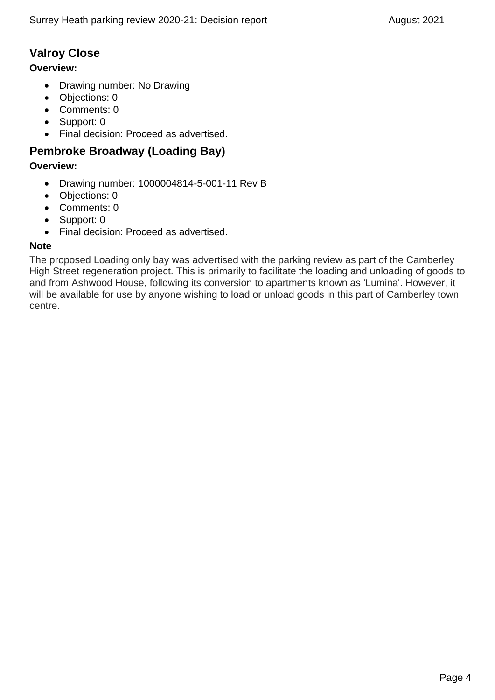### **Valroy Close**

### **Overview:**

- Drawing number: No Drawing
- Objections: 0
- Comments: 0
- Support: 0
- Final decision: Proceed as advertised.

### **Pembroke Broadway (Loading Bay)**

### **Overview:**

- Drawing number: 1000004814-5-001-11 Rev B
- Objections: 0
- Comments: 0
- Support: 0
- Final decision: Proceed as advertised.

### **Note**

The proposed Loading only bay was advertised with the parking review as part of the Camberley High Street regeneration project. This is primarily to facilitate the loading and unloading of goods to and from Ashwood House, following its conversion to apartments known as 'Lumina'. However, it will be available for use by anyone wishing to load or unload goods in this part of Camberley town centre.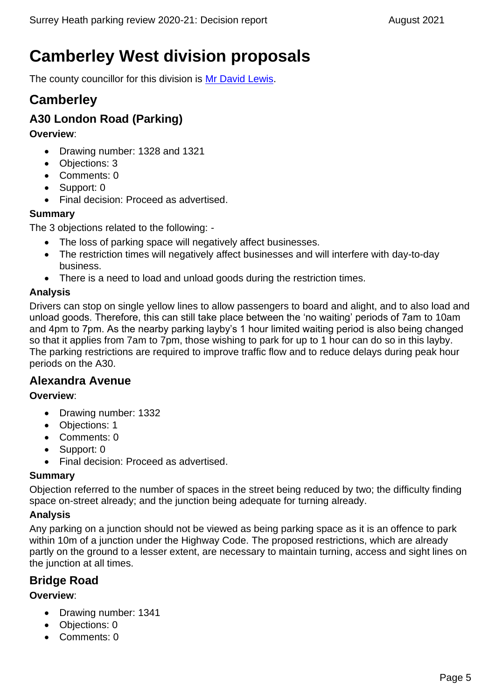# <span id="page-4-0"></span>**Camberley West division proposals**

The county councillor for this division is [Mr David Lewis.](https://mycouncil.surreycc.gov.uk/mgUserInfo.aspx?UID=3264)

### **Camberley**

### **A30 London Road (Parking)**

### **Overview**:

- Drawing number: 1328 and 1321
- Objections: 3
- Comments: 0
- Support: 0
- Final decision: Proceed as advertised.

### **Summary**

The 3 objections related to the following: -

- The loss of parking space will negatively affect businesses.
- The restriction times will negatively affect businesses and will interfere with day-to-day business.
- There is a need to load and unload goods during the restriction times.

### **Analysis**

Drivers can stop on single yellow lines to allow passengers to board and alight, and to also load and unload goods. Therefore, this can still take place between the 'no waiting' periods of 7am to 10am and 4pm to 7pm. As the nearby parking layby's 1 hour limited waiting period is also being changed so that it applies from 7am to 7pm, those wishing to park for up to 1 hour can do so in this layby. The parking restrictions are required to improve traffic flow and to reduce delays during peak hour periods on the A30.

### **Alexandra Avenue**

### **Overview**:

- Drawing number: 1332
- Objections: 1
- Comments: 0
- Support: 0
- Final decision: Proceed as advertised.

### **Summary**

Objection referred to the number of spaces in the street being reduced by two; the difficulty finding space on-street already; and the junction being adequate for turning already.

### **Analysis**

Any parking on a junction should not be viewed as being parking space as it is an offence to park within 10m of a junction under the Highway Code. The proposed restrictions, which are already partly on the ground to a lesser extent, are necessary to maintain turning, access and sight lines on the junction at all times.

### **Bridge Road**

- Drawing number: 1341
- Objections: 0
- Comments: 0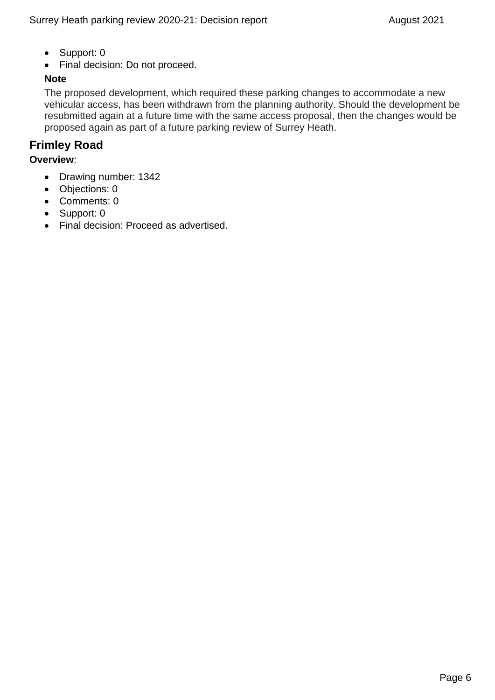- Support: 0
- Final decision: Do not proceed.

### **Note**

The proposed development, which required these parking changes to accommodate a new vehicular access, has been withdrawn from the planning authority. Should the development be resubmitted again at a future time with the same access proposal, then the changes would be proposed again as part of a future parking review of Surrey Heath.

### **Frimley Road**

- Drawing number: 1342
- Objections: 0
- Comments: 0
- Support: 0
- Final decision: Proceed as advertised.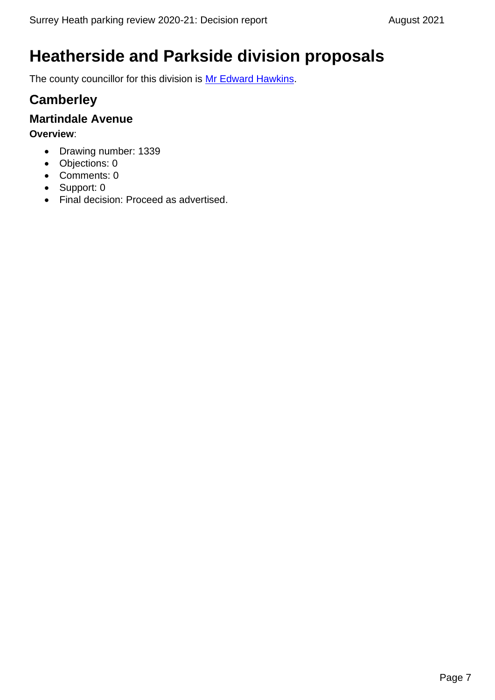# <span id="page-6-0"></span>**Heatherside and Parkside division proposals**

The county councillor for this division is [Mr Edward Hawkins.](https://mycouncil.surreycc.gov.uk/mgUserInfo.aspx?UID=2373)

# **Camberley**

### **Martindale Avenue**

- Drawing number: 1339
- Objections: 0
- Comments: 0
- Support: 0
- Final decision: Proceed as advertised.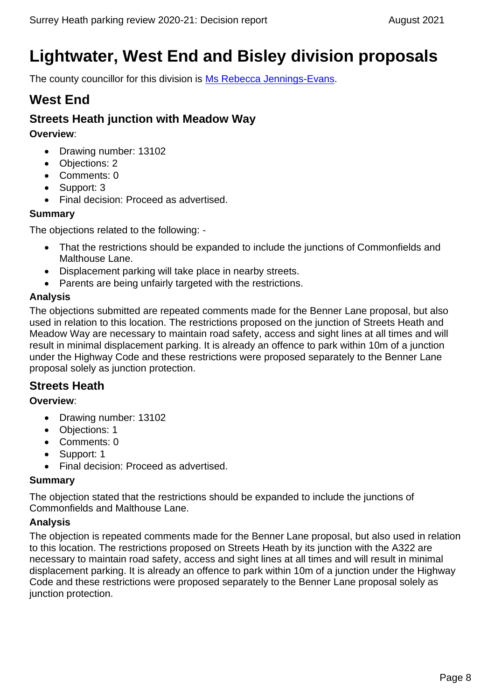# <span id="page-7-0"></span>**Lightwater, West End and Bisley division proposals**

The county councillor for this division is [Ms Rebecca Jennings-Evans.](https://mycouncil.surreycc.gov.uk/mgUserInfo.aspx?UID=3327)

### **West End**

### **Streets Heath junction with Meadow Way**

**Overview**:

- Drawing number: 13102
- Objections: 2
- Comments: 0
- Support: 3
- Final decision: Proceed as advertised.

### **Summary**

The objections related to the following: -

- That the restrictions should be expanded to include the junctions of Commonfields and Malthouse Lane.
- Displacement parking will take place in nearby streets.
- Parents are being unfairly targeted with the restrictions.

### **Analysis**

The objections submitted are repeated comments made for the Benner Lane proposal, but also used in relation to this location. The restrictions proposed on the junction of Streets Heath and Meadow Way are necessary to maintain road safety, access and sight lines at all times and will result in minimal displacement parking. It is already an offence to park within 10m of a junction under the Highway Code and these restrictions were proposed separately to the Benner Lane proposal solely as junction protection.

### **Streets Heath**

### **Overview**:

- Drawing number: 13102
- Objections: 1
- Comments: 0
- Support: 1
- Final decision: Proceed as advertised.

### **Summary**

The objection stated that the restrictions should be expanded to include the junctions of Commonfields and Malthouse Lane.

### **Analysis**

The objection is repeated comments made for the Benner Lane proposal, but also used in relation to this location. The restrictions proposed on Streets Heath by its junction with the A322 are necessary to maintain road safety, access and sight lines at all times and will result in minimal displacement parking. It is already an offence to park within 10m of a junction under the Highway Code and these restrictions were proposed separately to the Benner Lane proposal solely as junction protection.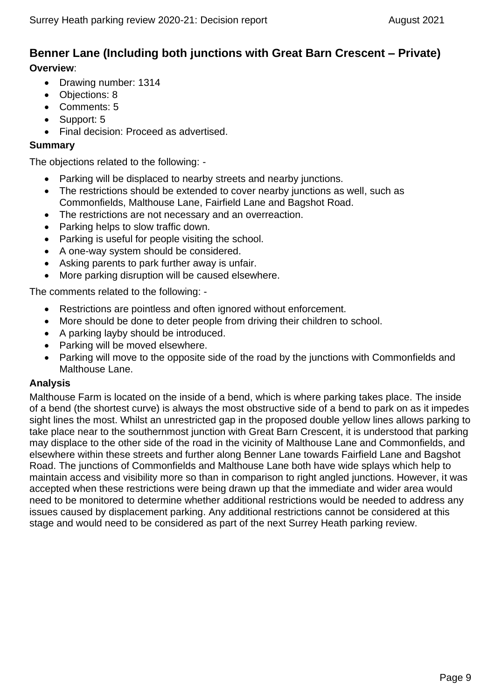### **Benner Lane (Including both junctions with Great Barn Crescent – Private) Overview**:

- Drawing number: 1314
- Objections: 8
- Comments: 5
- Support: 5
- Final decision: Proceed as advertised.

### **Summary**

The objections related to the following: -

- Parking will be displaced to nearby streets and nearby junctions.
- The restrictions should be extended to cover nearby junctions as well, such as Commonfields, Malthouse Lane, Fairfield Lane and Bagshot Road.
- The restrictions are not necessary and an overreaction.
- Parking helps to slow traffic down.
- Parking is useful for people visiting the school.
- A one-way system should be considered.
- Asking parents to park further away is unfair.
- More parking disruption will be caused elsewhere.

The comments related to the following: -

- Restrictions are pointless and often ignored without enforcement.
- More should be done to deter people from driving their children to school.
- A parking layby should be introduced.
- Parking will be moved elsewhere.
- Parking will move to the opposite side of the road by the junctions with Commonfields and Malthouse Lane.

### **Analysis**

Malthouse Farm is located on the inside of a bend, which is where parking takes place. The inside of a bend (the shortest curve) is always the most obstructive side of a bend to park on as it impedes sight lines the most. Whilst an unrestricted gap in the proposed double yellow lines allows parking to take place near to the southernmost junction with Great Barn Crescent, it is understood that parking may displace to the other side of the road in the vicinity of Malthouse Lane and Commonfields, and elsewhere within these streets and further along Benner Lane towards Fairfield Lane and Bagshot Road. The junctions of Commonfields and Malthouse Lane both have wide splays which help to maintain access and visibility more so than in comparison to right angled junctions. However, it was accepted when these restrictions were being drawn up that the immediate and wider area would need to be monitored to determine whether additional restrictions would be needed to address any issues caused by displacement parking. Any additional restrictions cannot be considered at this stage and would need to be considered as part of the next Surrey Heath parking review.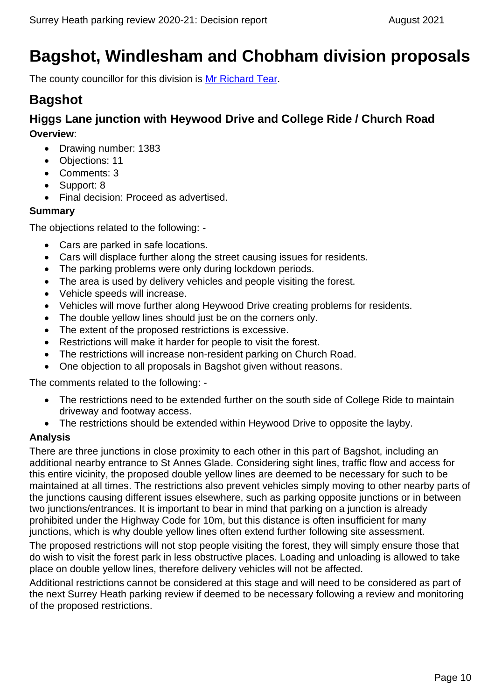# <span id="page-9-0"></span>**Bagshot, Windlesham and Chobham division proposals**

The county councillor for this division is [Mr Richard Tear.](https://mycouncil.surreycc.gov.uk/mgUserInfo.aspx?UID=3243)

# **Bagshot**

### **Higgs Lane junction with Heywood Drive and College Ride / Church Road Overview**:

- Drawing number: 1383
- Objections: 11
- Comments: 3
- Support: 8
- Final decision: Proceed as advertised.

### **Summary**

The objections related to the following: -

- Cars are parked in safe locations.
- Cars will displace further along the street causing issues for residents.
- The parking problems were only during lockdown periods.
- The area is used by delivery vehicles and people visiting the forest.
- Vehicle speeds will increase.
- Vehicles will move further along Heywood Drive creating problems for residents.
- The double yellow lines should just be on the corners only.
- The extent of the proposed restrictions is excessive.
- Restrictions will make it harder for people to visit the forest.
- The restrictions will increase non-resident parking on Church Road.
- One objection to all proposals in Bagshot given without reasons.

The comments related to the following: -

- The restrictions need to be extended further on the south side of College Ride to maintain driveway and footway access.
- The restrictions should be extended within Heywood Drive to opposite the layby.

### **Analysis**

There are three junctions in close proximity to each other in this part of Bagshot, including an additional nearby entrance to St Annes Glade. Considering sight lines, traffic flow and access for this entire vicinity, the proposed double yellow lines are deemed to be necessary for such to be maintained at all times. The restrictions also prevent vehicles simply moving to other nearby parts of the junctions causing different issues elsewhere, such as parking opposite junctions or in between two junctions/entrances. It is important to bear in mind that parking on a junction is already prohibited under the Highway Code for 10m, but this distance is often insufficient for many junctions, which is why double yellow lines often extend further following site assessment.

The proposed restrictions will not stop people visiting the forest, they will simply ensure those that do wish to visit the forest park in less obstructive places. Loading and unloading is allowed to take place on double yellow lines, therefore delivery vehicles will not be affected.

Additional restrictions cannot be considered at this stage and will need to be considered as part of the next Surrey Heath parking review if deemed to be necessary following a review and monitoring of the proposed restrictions.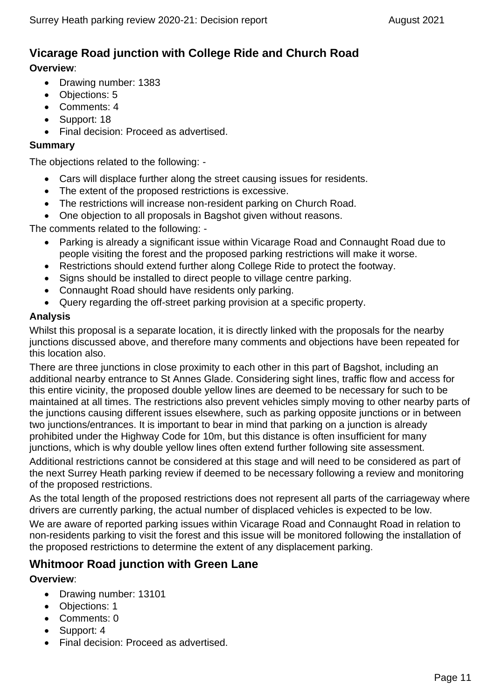# **Vicarage Road junction with College Ride and Church Road**

### **Overview**:

- Drawing number: 1383
- Objections: 5
- Comments: 4
- Support: 18
- Final decision: Proceed as advertised.

### **Summary**

The objections related to the following: -

- Cars will displace further along the street causing issues for residents.
- The extent of the proposed restrictions is excessive.
- The restrictions will increase non-resident parking on Church Road.
- One objection to all proposals in Bagshot given without reasons.

The comments related to the following: -

- Parking is already a significant issue within Vicarage Road and Connaught Road due to people visiting the forest and the proposed parking restrictions will make it worse.
- Restrictions should extend further along College Ride to protect the footway.
- Signs should be installed to direct people to village centre parking.
- Connaught Road should have residents only parking.
- Query regarding the off-street parking provision at a specific property.

### **Analysis**

Whilst this proposal is a separate location, it is directly linked with the proposals for the nearby junctions discussed above, and therefore many comments and objections have been repeated for this location also.

There are three junctions in close proximity to each other in this part of Bagshot, including an additional nearby entrance to St Annes Glade. Considering sight lines, traffic flow and access for this entire vicinity, the proposed double yellow lines are deemed to be necessary for such to be maintained at all times. The restrictions also prevent vehicles simply moving to other nearby parts of the junctions causing different issues elsewhere, such as parking opposite junctions or in between two junctions/entrances. It is important to bear in mind that parking on a junction is already prohibited under the Highway Code for 10m, but this distance is often insufficient for many junctions, which is why double yellow lines often extend further following site assessment.

Additional restrictions cannot be considered at this stage and will need to be considered as part of the next Surrey Heath parking review if deemed to be necessary following a review and monitoring of the proposed restrictions.

As the total length of the proposed restrictions does not represent all parts of the carriageway where drivers are currently parking, the actual number of displaced vehicles is expected to be low.

We are aware of reported parking issues within Vicarage Road and Connaught Road in relation to non-residents parking to visit the forest and this issue will be monitored following the installation of the proposed restrictions to determine the extent of any displacement parking.

### **Whitmoor Road junction with Green Lane**

- Drawing number: 13101
- Objections: 1
- Comments: 0
- Support: 4
- Final decision: Proceed as advertised.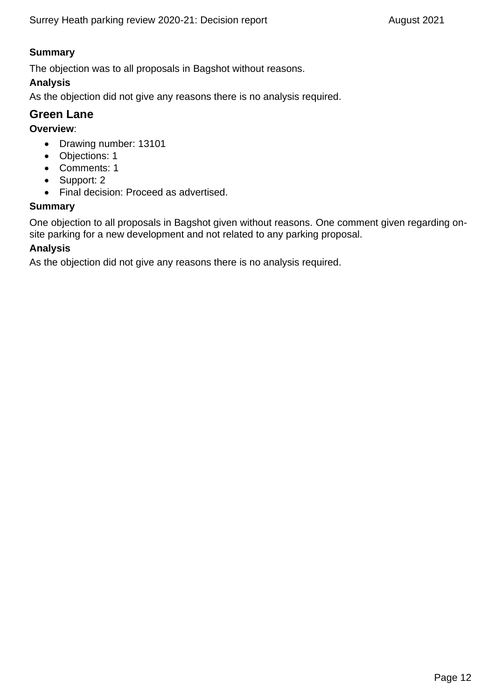### **Summary**

The objection was to all proposals in Bagshot without reasons.

### **Analysis**

As the objection did not give any reasons there is no analysis required.

### **Green Lane**

### **Overview**:

- Drawing number: 13101
- Objections: 1
- Comments: 1
- Support: 2
- Final decision: Proceed as advertised.

### **Summary**

One objection to all proposals in Bagshot given without reasons. One comment given regarding onsite parking for a new development and not related to any parking proposal.

### **Analysis**

As the objection did not give any reasons there is no analysis required.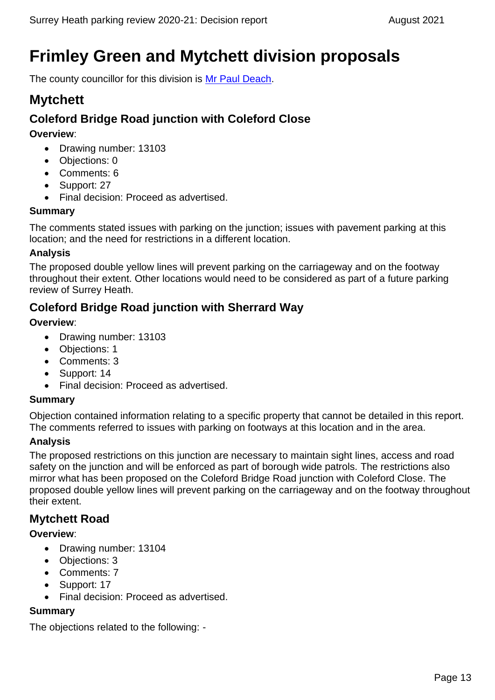# <span id="page-12-0"></span>**Frimley Green and Mytchett division proposals**

The county councillor for this division is [Mr Paul Deach.](https://mycouncil.surreycc.gov.uk/mgUserInfo.aspx?UID=2241)

### **Mytchett**

### **Coleford Bridge Road junction with Coleford Close**

**Overview**:

- Drawing number: 13103
- Objections: 0
- Comments: 6
- Support: 27
- Final decision: Proceed as advertised.

### **Summary**

The comments stated issues with parking on the junction; issues with pavement parking at this location; and the need for restrictions in a different location.

### **Analysis**

The proposed double yellow lines will prevent parking on the carriageway and on the footway throughout their extent. Other locations would need to be considered as part of a future parking review of Surrey Heath.

### **Coleford Bridge Road junction with Sherrard Way**

### **Overview**:

- Drawing number: 13103
- Objections: 1
- Comments: 3
- Support: 14
- Final decision: Proceed as advertised.

### **Summary**

Objection contained information relating to a specific property that cannot be detailed in this report. The comments referred to issues with parking on footways at this location and in the area.

### **Analysis**

The proposed restrictions on this junction are necessary to maintain sight lines, access and road safety on the junction and will be enforced as part of borough wide patrols. The restrictions also mirror what has been proposed on the Coleford Bridge Road junction with Coleford Close. The proposed double yellow lines will prevent parking on the carriageway and on the footway throughout their extent.

### **Mytchett Road**

#### **Overview**:

- Drawing number: 13104
- Objections: 3
- Comments: 7
- Support: 17
- Final decision: Proceed as advertised.

#### **Summary**

The objections related to the following: -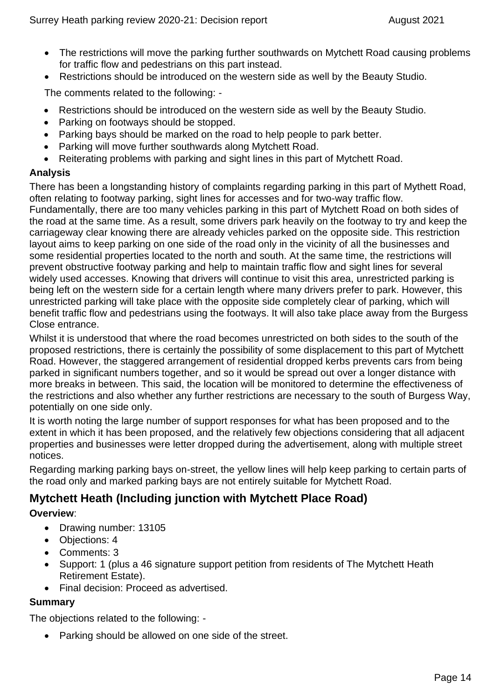- The restrictions will move the parking further southwards on Mytchett Road causing problems for traffic flow and pedestrians on this part instead.
- Restrictions should be introduced on the western side as well by the Beauty Studio.

The comments related to the following: -

- Restrictions should be introduced on the western side as well by the Beauty Studio.
- Parking on footways should be stopped.
- Parking bays should be marked on the road to help people to park better.
- Parking will move further southwards along Mytchett Road.
- Reiterating problems with parking and sight lines in this part of Mytchett Road.

### **Analysis**

There has been a longstanding history of complaints regarding parking in this part of Mythett Road, often relating to footway parking, sight lines for accesses and for two-way traffic flow.

Fundamentally, there are too many vehicles parking in this part of Mytchett Road on both sides of the road at the same time. As a result, some drivers park heavily on the footway to try and keep the carriageway clear knowing there are already vehicles parked on the opposite side. This restriction layout aims to keep parking on one side of the road only in the vicinity of all the businesses and some residential properties located to the north and south. At the same time, the restrictions will prevent obstructive footway parking and help to maintain traffic flow and sight lines for several widely used accesses. Knowing that drivers will continue to visit this area, unrestricted parking is being left on the western side for a certain length where many drivers prefer to park. However, this unrestricted parking will take place with the opposite side completely clear of parking, which will benefit traffic flow and pedestrians using the footways. It will also take place away from the Burgess Close entrance.

Whilst it is understood that where the road becomes unrestricted on both sides to the south of the proposed restrictions, there is certainly the possibility of some displacement to this part of Mytchett Road. However, the staggered arrangement of residential dropped kerbs prevents cars from being parked in significant numbers together, and so it would be spread out over a longer distance with more breaks in between. This said, the location will be monitored to determine the effectiveness of the restrictions and also whether any further restrictions are necessary to the south of Burgess Way, potentially on one side only.

It is worth noting the large number of support responses for what has been proposed and to the extent in which it has been proposed, and the relatively few objections considering that all adjacent properties and businesses were letter dropped during the advertisement, along with multiple street notices.

Regarding marking parking bays on-street, the yellow lines will help keep parking to certain parts of the road only and marked parking bays are not entirely suitable for Mytchett Road.

### **Mytchett Heath (Including junction with Mytchett Place Road)**

#### **Overview**:

- Drawing number: 13105
- Objections: 4
- Comments: 3
- Support: 1 (plus a 46 signature support petition from residents of The Mytchett Heath Retirement Estate).
- Final decision: Proceed as advertised.

#### **Summary**

The objections related to the following: -

• Parking should be allowed on one side of the street.